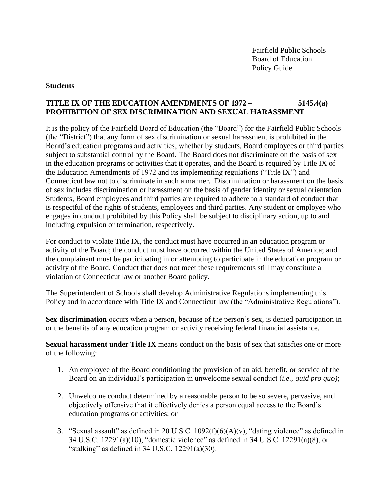Fairfield Public Schools Board of Education Policy Guide

### **Students**

# **TITLE IX OF THE EDUCATION AMENDMENTS OF 1972 – 5145.4(a) PROHIBITION OF SEX DISCRIMINATION AND SEXUAL HARASSMENT**

It is the policy of the Fairfield Board of Education (the "Board") for the Fairfield Public Schools (the "District") that any form of sex discrimination or sexual harassment is prohibited in the Board's education programs and activities, whether by students, Board employees or third parties subject to substantial control by the Board. The Board does not discriminate on the basis of sex in the education programs or activities that it operates, and the Board is required by Title IX of the Education Amendments of 1972 and its implementing regulations ("Title IX") and Connecticut law not to discriminate in such a manner. Discrimination or harassment on the basis of sex includes discrimination or harassment on the basis of gender identity or sexual orientation. Students, Board employees and third parties are required to adhere to a standard of conduct that is respectful of the rights of students, employees and third parties. Any student or employee who engages in conduct prohibited by this Policy shall be subject to disciplinary action, up to and including expulsion or termination, respectively.

For conduct to violate Title IX, the conduct must have occurred in an education program or activity of the Board; the conduct must have occurred within the United States of America; and the complainant must be participating in or attempting to participate in the education program or activity of the Board. Conduct that does not meet these requirements still may constitute a violation of Connecticut law or another Board policy.

The Superintendent of Schools shall develop Administrative Regulations implementing this Policy and in accordance with Title IX and Connecticut law (the "Administrative Regulations").

**Sex discrimination** occurs when a person, because of the person's sex, is denied participation in or the benefits of any education program or activity receiving federal financial assistance.

**Sexual harassment under Title IX** means conduct on the basis of sex that satisfies one or more of the following:

- 1. An employee of the Board conditioning the provision of an aid, benefit, or service of the Board on an individual's participation in unwelcome sexual conduct (*i.e.*, *quid pro quo)*;
- 2. Unwelcome conduct determined by a reasonable person to be so severe, pervasive, and objectively offensive that it effectively denies a person equal access to the Board's education programs or activities; or
- 3. "Sexual assault" as defined in 20 U.S.C.  $1092(f)(6)(A)(v)$ , "dating violence" as defined in 34 U.S.C. 12291(a)(10), "domestic violence" as defined in 34 U.S.C. 12291(a)(8), or "stalking" as defined in  $34$  U.S.C.  $12291(a)(30)$ .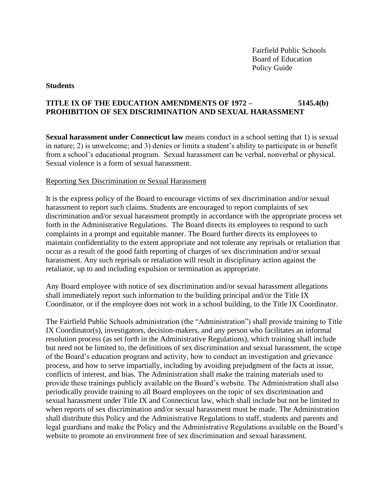Fairfield Public Schools Board of Education Policy Guide

#### **Students**

# **TITLE IX OF THE EDUCATION AMENDMENTS OF 1972 – 5145.4(b) PROHIBITION OF SEX DISCRIMINATION AND SEXUAL HARASSMENT**

**Sexual harassment under Connecticut law** means conduct in a school setting that 1) is sexual in nature; 2) is unwelcome; and 3) denies or limits a student's ability to participate in or benefit from a school's educational program. Sexual harassment can be verbal, nonverbal or physical. Sexual violence is a form of sexual harassment.

### Reporting Sex Discrimination or Sexual Harassment

It is the express policy of the Board to encourage victims of sex discrimination and/or sexual harassment to report such claims. Students are encouraged to report complaints of sex discrimination and/or sexual harassment promptly in accordance with the appropriate process set forth in the Administrative Regulations. The Board directs its employees to respond to such complaints in a prompt and equitable manner. The Board further directs its employees to maintain confidentiality to the extent appropriate and not tolerate any reprisals or retaliation that occur as a result of the good faith reporting of charges of sex discrimination and/or sexual harassment. Any such reprisals or retaliation will result in disciplinary action against the retaliator, up to and including expulsion or termination as appropriate.

Any Board employee with notice of sex discrimination and/or sexual harassment allegations shall immediately report such information to the building principal and/or the Title IX Coordinator, or if the employee does not work in a school building, to the Title IX Coordinator.

The Fairfield Public Schools administration (the "Administration") shall provide training to Title IX Coordinator(s), investigators, decision-makers, and any person who facilitates an informal resolution process (as set forth in the Administrative Regulations), which training shall include but need not be limited to, the definitions of sex discrimination and sexual harassment, the scope of the Board's education program and activity, how to conduct an investigation and grievance process, and how to serve impartially, including by avoiding prejudgment of the facts at issue, conflicts of interest, and bias. The Administration shall make the training materials used to provide these trainings publicly available on the Board's website. The Administration shall also periodically provide training to all Board employees on the topic of sex discrimination and sexual harassment under Title IX and Connecticut law, which shall include but not be limited to when reports of sex discrimination and/or sexual harassment must be made. The Administration shall distribute this Policy and the Administrative Regulations to staff, students and parents and legal guardians and make the Policy and the Administrative Regulations available on the Board's website to promote an environment free of sex discrimination and sexual harassment.